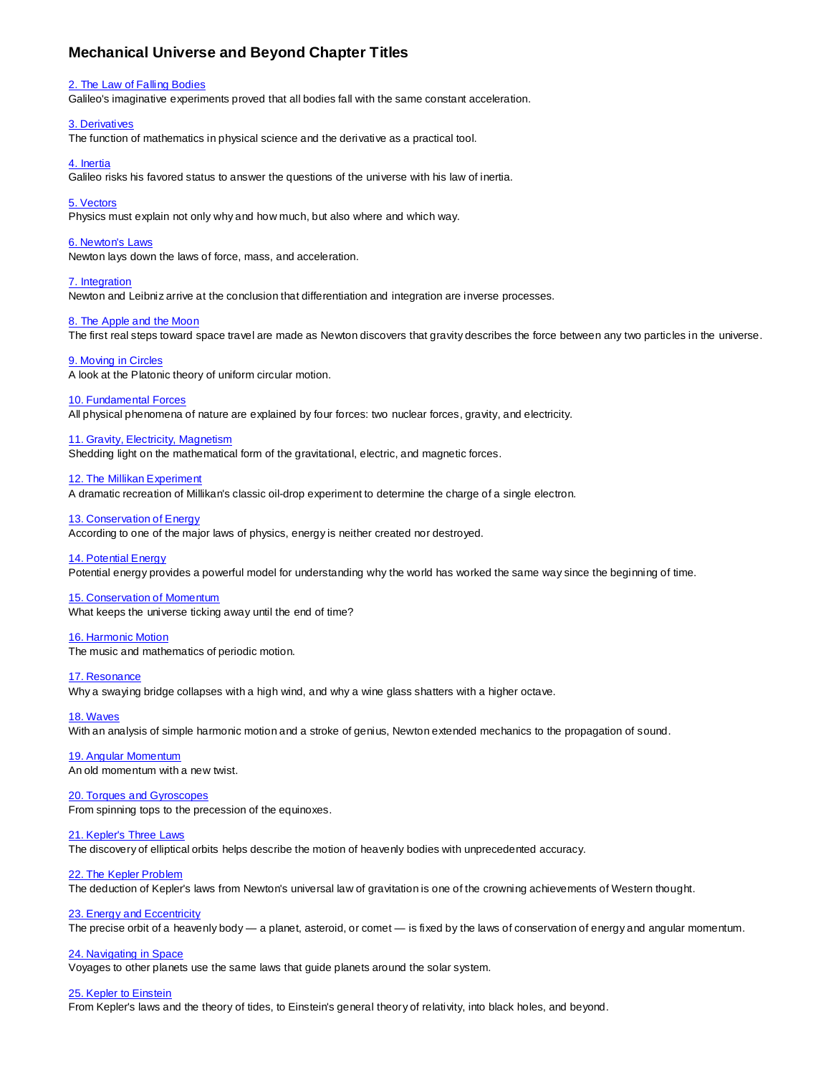# **Mechanical Universe and Beyond Chapter Titles**

### [2. The Law of Falling Bodies](https://www.youtube.com/watch?v=livG1fp-q8s)

Galileo's imaginative experiments proved that all bodies fall with the same constant acceleration.

## [3. Derivatives](https://www.youtube.com/watch?v=szCChCc58dg)

The function of mathematics in physical science and the derivative as a practical tool.

## [4. Inertia](https://www.youtube.com/watch?v=l2NtOYrLeFo)

Galileo risks his favored status to answer the questions of the universe with his law of inertia.

# [5. Vectors](https://www.youtube.com/watch?v=MWrOozSSdW8)

Physics must explain not only why and how much, but also where and which way.

## [6. Newton's Laws](https://www.youtube.com/watch?v=tsJMfy2GH0A)

Newton lays down the laws of force, mass, and acceleration.

### [7. Integration](https://www.youtube.com/watch?v=w6ynSbzPhjc)

Newton and Leibniz arrive at the conclusion that differentiation and integration are inverse processes.

# [8. The Apple and the Moon](https://www.youtube.com/watch?v=f7MTOb8GUwk)

The first real steps toward space travel are made as Newton discovers that gravity describes the force between any two particles in the universe.

### [9. Moving in Circles](https://www.youtube.com/watch?v=MSUkQXA5_bU)

A look at the Platonic theory of uniform circular motion.

# [10. Fundamental Forces](https://www.youtube.com/watch?v=QonjGa9EPNI)

All physical phenomena of nature are explained by four forces: two nuclear forces, gravity, and electricity.

### [11. Gravity, Electricity, Magnetism](https://www.youtube.com/watch?v=eRzqL9BAeYA)

Shedding light on the mathematical form of the gravitational, electric, and magnetic forces.

### [12. The Millikan Experiment](https://www.youtube.com/watch?v=sUc13Q8CF3s)

A dramatic recreation of Millikan's classic oil-drop experiment to determine the charge of a single electron.

# [13. Conservation of Energy](https://www.youtube.com/watch?v=8BDHN2bY1bg)

According to one of the major laws of physics, energy is neither created nor destroyed.

#### [14. Potential Energy](https://www.youtube.com/watch?v=QZ4j0aUwBr8)

Potential energy provides a powerful model for understanding why the world has worked the same way since the beginning of time.

### [15. Conservation of Momentum](https://www.youtube.com/watch?v=B44InZz-_pE&t=103s)

What keeps the universe ticking away until the end of time?

#### [16. Harmonic Motion](https://www.youtube.com/watch?v=EqYnW67cp58)

The music and mathematics of periodic motion.

#### [17. Resonance](https://www.youtube.com/watch?v=ODs4eyQTz5Y)

Why a swaying bridge collapses with a high wind, and why a wine glass shatters with a higher octave.

# [18. Waves](https://www.youtube.com/watch?v=2OP0gp9v5XM&t=14s)

With an analysis of simple harmonic motion and a stroke of genius, Newton extended mechanics to the propagation of sound.

# [19. Angular Momentum](https://www.youtube.com/watch?v=jvUcqZlMS8s&t=26s)

An old momentum with a new twist.

# [20. Torques and Gyroscopes](https://www.youtube.com/watch?v=r5YM96mA9pk&t=10s)

From spinning tops to the precession of the equinoxes.

# [21. Kepler's Three Laws](https://www.youtube.com/watch?v=uJvOGp1wzTI&t=6s)

The discovery of elliptical orbits helps describe the motion of heavenly bodies with unprecedented accuracy.

# [22. The Kepler Problem](https://www.youtube.com/watch?v=0tSmY4fn5xY&t=8s)

The deduction of Kepler's laws from Newton's universal law of gravitation is one of the crowning achievements of Western thought.

# [23. Energy and Eccentricity](https://www.youtube.com/watch?v=rTdduAErWwQ&t=7s)

The precise orbit of a heavenly body — a planet, asteroid, or comet — is fixed by the laws of conservation of energy and angular momentum.

# [24. Navigating in](https://www.youtube.com/watch?v=KNHd__ed40M&t=120s) Space

Voyages to other planets use the same laws that guide planets around the solar system.

# [25. Kepler to Einstein](https://www.youtube.com/watch?v=gkFD9ZPM3Jg&t=7s)

From Kepler's laws and the theory of tides, to Einstein's general theory of relativity, into black holes, and beyond.